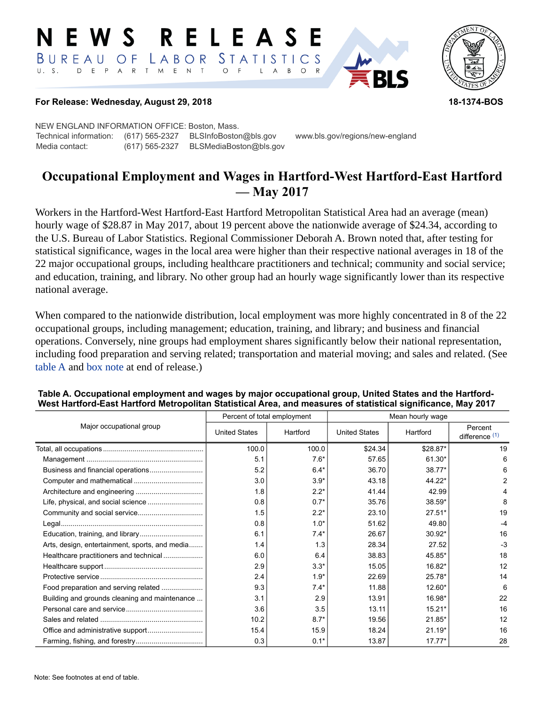#### RELEASE E W S LABOR STATISTICS BUREAU OF D E P A R T M E N T  $\circ$  $U. S.$  $\mathsf{L}$  $\overline{A}$  $B$  $\circ$



### **For Release: Wednesday, August 29, 2018 18-1374-BOS**

NEW ENGLAND INFORMATION OFFICE: Boston, Mass. Technical information: (617) 565-2327 BLSInfoBoston@bls.gov www.bls.gov/regions/new-england Media contact: (617) 565-2327 BLSMediaBoston@bls.gov

# **Occupational Employment and Wages in Hartford-West Hartford-East Hartford — May 2017**

Workers in the Hartford-West Hartford-East Hartford Metropolitan Statistical Area had an average (mean) hourly wage of \$28.87 in May 2017, about 19 percent above the nationwide average of \$24.34, according to the U.S. Bureau of Labor Statistics. Regional Commissioner Deborah A. Brown noted that, after testing for statistical significance, wages in the local area were higher than their respective national averages in 18 of the 22 major occupational groups, including healthcare practitioners and technical; community and social service; and education, training, and library. No other group had an hourly wage significantly lower than its respective national average.

When compared to the nationwide distribution, local employment was more highly concentrated in 8 of the 22 occupational groups, including management; education, training, and library; and business and financial operations. Conversely, nine groups had employment shares significantly below their national representation, including food preparation and serving related; transportation and material moving; and sales and related. (See table A and [box note](#page-2-0) at end of release.)

|                                                | Percent of total employment |          | Mean hourly wage     |          |                           |
|------------------------------------------------|-----------------------------|----------|----------------------|----------|---------------------------|
| Major occupational group                       | <b>United States</b>        | Hartford | <b>United States</b> | Hartford | Percent<br>difference (1) |
|                                                | 100.0                       | 100.0    | \$24.34              | \$28.87* | 19                        |
|                                                | 5.1                         | $7.6*$   | 57.65                | 61.30*   | 6                         |
|                                                | 5.2                         | $6.4*$   | 36.70                | 38.77*   | 6                         |
|                                                | 3.0                         | $3.9*$   | 43.18                | 44.22*   | 2                         |
|                                                | 1.8                         | $2.2*$   | 41.44                | 42.99    |                           |
|                                                | 0.8                         | $0.7*$   | 35.76                | 38.59*   | 8                         |
|                                                | 1.5                         | $2.2*$   | 23.10                | $27.51*$ | 19                        |
|                                                | 0.8                         | $1.0*$   | 51.62                | 49.80    | $-4$                      |
|                                                | 6.1                         | $7.4*$   | 26.67                | $30.92*$ | 16                        |
| Arts, design, entertainment, sports, and media | 1.4                         | 1.3      | 28.34                | 27.52    | $-3$                      |
| Healthcare practitioners and technical         | 6.0                         | 6.4      | 38.83                | 45.85*   | 18                        |
|                                                | 2.9                         | $3.3*$   | 15.05                | 16.82*   | 12                        |
|                                                | 2.4                         | $1.9*$   | 22.69                | $25.78*$ | 14                        |
| Food preparation and serving related           | 9.3                         | $7.4*$   | 11.88                | 12.60*   | 6                         |
| Building and grounds cleaning and maintenance  | 3.1                         | 2.9      | 13.91                | 16.98*   | 22                        |
|                                                | 3.6                         | 3.5      | 13.11                | $15.21*$ | 16                        |
|                                                | 10.2                        | $8.7*$   | 19.56                | $21.85*$ | 12                        |
|                                                | 15.4                        | 15.9     | 18.24                | $21.19*$ | 16                        |
|                                                | 0.3                         | $0.1*$   | 13.87                | $17.77*$ | 28                        |

### **Table A. Occupational employment and wages by major occupational group, United States and the Hartford-West Hartford-East Hartford Metropolitan Statistical Area, and measures of statistical significance, May 2017**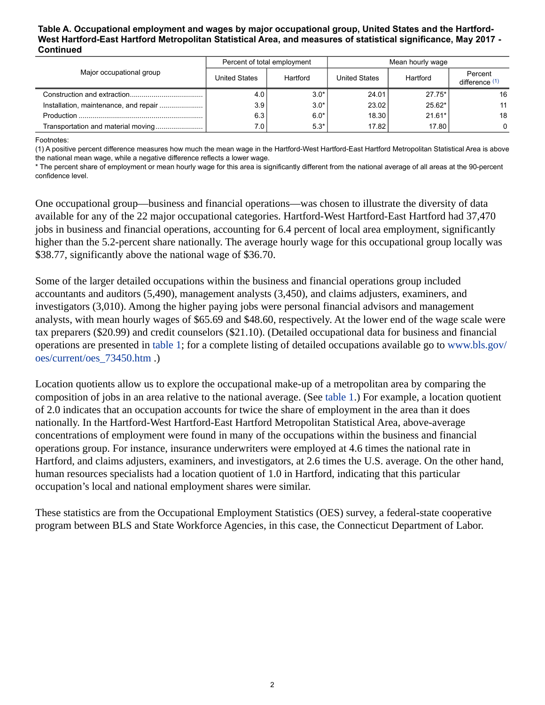#### **Table A. Occupational employment and wages by major occupational group, United States and the Hartford-West Hartford-East Hartford Metropolitan Statistical Area, and measures of statistical significance, May 2017 - Continued**

| Major occupational group |                      | Percent of total employment | Mean hourly wage     |          |                           |
|--------------------------|----------------------|-----------------------------|----------------------|----------|---------------------------|
|                          | <b>United States</b> | Hartford                    | <b>United States</b> | Hartford | Percent<br>difference (1) |
|                          | 4.0'                 | $3.0*$                      | 24.01                | $27.75*$ | 16                        |
|                          | 3.9                  | $3.0*$                      | 23.02                | $25.62*$ | 11                        |
|                          | 6.3                  | $6.0*$                      | 18.30                | $21.61*$ | 18                        |
|                          | 7.O I                | $5.3*$                      | 17.82                | 17.80    | $\Omega$                  |

<span id="page-1-0"></span>Footnotes:

(1) A positive percent difference measures how much the mean wage in the Hartford-West Hartford-East Hartford Metropolitan Statistical Area is above the national mean wage, while a negative difference reflects a lower wage.

\* The percent share of employment or mean hourly wage for this area is significantly different from the national average of all areas at the 90-percent confidence level.

One occupational group—business and financial operations—was chosen to illustrate the diversity of data available for any of the 22 major occupational categories. Hartford-West Hartford-East Hartford had 37,470 jobs in business and financial operations, accounting for 6.4 percent of local area employment, significantly higher than the 5.2-percent share nationally. The average hourly wage for this occupational group locally was \$38.77, significantly above the national wage of \$36.70.

Some of the larger detailed occupations within the business and financial operations group included accountants and auditors (5,490), management analysts (3,450), and claims adjusters, examiners, and investigators (3,010). Among the higher paying jobs were personal financial advisors and management analysts, with mean hourly wages of \$65.69 and \$48.60, respectively. At the lower end of the wage scale were tax preparers (\$20.99) and credit counselors (\$21.10). (Detailed occupational data for business and financial operations are presented in table 1; for a complete listing of detailed occupations available go to [www.bls.gov/](https://www.bls.gov/oes/current/oes_73450.htm) [oes/current/oes\\_73450.htm](https://www.bls.gov/oes/current/oes_73450.htm) .)

Location quotients allow us to explore the occupational make-up of a metropolitan area by comparing the composition of jobs in an area relative to the national average. (See table 1.) For example, a location quotient of 2.0 indicates that an occupation accounts for twice the share of employment in the area than it does nationally. In the Hartford-West Hartford-East Hartford Metropolitan Statistical Area, above-average concentrations of employment were found in many of the occupations within the business and financial operations group. For instance, insurance underwriters were employed at 4.6 times the national rate in Hartford, and claims adjusters, examiners, and investigators, at 2.6 times the U.S. average. On the other hand, human resources specialists had a location quotient of 1.0 in Hartford, indicating that this particular occupation's local and national employment shares were similar.

These statistics are from the Occupational Employment Statistics (OES) survey, a federal-state cooperative program between BLS and State Workforce Agencies, in this case, the Connecticut Department of Labor.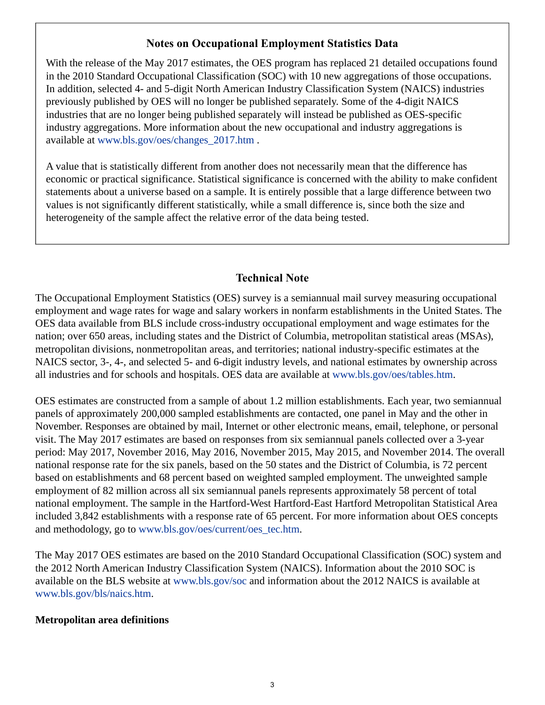## **Notes on Occupational Employment Statistics Data**

<span id="page-2-0"></span>With the release of the May 2017 estimates, the OES program has replaced 21 detailed occupations found in the 2010 Standard Occupational Classification (SOC) with 10 new aggregations of those occupations. In addition, selected 4- and 5-digit North American Industry Classification System (NAICS) industries previously published by OES will no longer be published separately. Some of the 4-digit NAICS industries that are no longer being published separately will instead be published as OES-specific industry aggregations. More information about the new occupational and industry aggregations is available at [www.bls.gov/oes/changes\\_2017.htm](https://www.bls.gov/oes/changes_2017.htm) .

A value that is statistically different from another does not necessarily mean that the difference has economic or practical significance. Statistical significance is concerned with the ability to make confident statements about a universe based on a sample. It is entirely possible that a large difference between two values is not significantly different statistically, while a small difference is, since both the size and heterogeneity of the sample affect the relative error of the data being tested.

# **Technical Note**

The Occupational Employment Statistics (OES) survey is a semiannual mail survey measuring occupational employment and wage rates for wage and salary workers in nonfarm establishments in the United States. The OES data available from BLS include cross-industry occupational employment and wage estimates for the nation; over 650 areas, including states and the District of Columbia, metropolitan statistical areas (MSAs), metropolitan divisions, nonmetropolitan areas, and territories; national industry-specific estimates at the NAICS sector, 3-, 4-, and selected 5- and 6-digit industry levels, and national estimates by ownership across all industries and for schools and hospitals. OES data are available at [www.bls.gov/oes/tables.htm](https://www.bls.gov/oes/tables.htm).

OES estimates are constructed from a sample of about 1.2 million establishments. Each year, two semiannual panels of approximately 200,000 sampled establishments are contacted, one panel in May and the other in November. Responses are obtained by mail, Internet or other electronic means, email, telephone, or personal visit. The May 2017 estimates are based on responses from six semiannual panels collected over a 3-year period: May 2017, November 2016, May 2016, November 2015, May 2015, and November 2014. The overall national response rate for the six panels, based on the 50 states and the District of Columbia, is 72 percent based on establishments and 68 percent based on weighted sampled employment. The unweighted sample employment of 82 million across all six semiannual panels represents approximately 58 percent of total national employment. The sample in the Hartford-West Hartford-East Hartford Metropolitan Statistical Area included 3,842 establishments with a response rate of 65 percent. For more information about OES concepts and methodology, go to [www.bls.gov/oes/current/oes\\_tec.htm.](https://www.bls.gov/oes/current/oes_tec.htm)

The May 2017 OES estimates are based on the 2010 Standard Occupational Classification (SOC) system and the 2012 North American Industry Classification System (NAICS). Information about the 2010 SOC is available on the BLS website at [www.bls.gov/soc](https://www.bls.gov/soc) and information about the 2012 NAICS is available at [www.bls.gov/bls/naics.htm.](https://www.bls.gov/bls/naics.htm)

### **Metropolitan area definitions**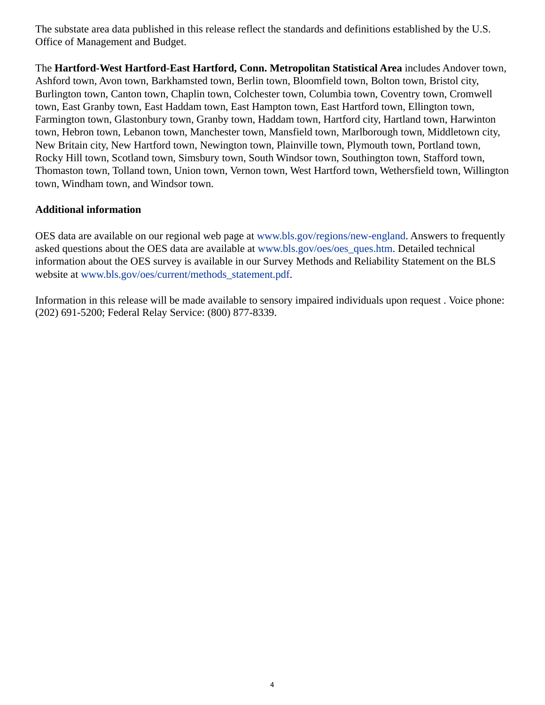The substate area data published in this release reflect the standards and definitions established by the U.S. Office of Management and Budget.

The **Hartford-West Hartford-East Hartford, Conn. Metropolitan Statistical Area** includes Andover town, Ashford town, Avon town, Barkhamsted town, Berlin town, Bloomfield town, Bolton town, Bristol city, Burlington town, Canton town, Chaplin town, Colchester town, Columbia town, Coventry town, Cromwell town, East Granby town, East Haddam town, East Hampton town, East Hartford town, Ellington town, Farmington town, Glastonbury town, Granby town, Haddam town, Hartford city, Hartland town, Harwinton town, Hebron town, Lebanon town, Manchester town, Mansfield town, Marlborough town, Middletown city, New Britain city, New Hartford town, Newington town, Plainville town, Plymouth town, Portland town, Rocky Hill town, Scotland town, Simsbury town, South Windsor town, Southington town, Stafford town, Thomaston town, Tolland town, Union town, Vernon town, West Hartford town, Wethersfield town, Willington town, Windham town, and Windsor town.

### **Additional information**

OES data are available on our regional web page at [www.bls.gov/regions/new-england.](https://www.bls.gov/regions/new-england) Answers to frequently asked questions about the OES data are available at [www.bls.gov/oes/oes\\_ques.htm](https://www.bls.gov/oes/oes_ques.htm). Detailed technical information about the OES survey is available in our Survey Methods and Reliability Statement on the BLS website at [www.bls.gov/oes/current/methods\\_statement.pdf.](https://www.bls.gov/oes/current/methods_statement.pdf)

Information in this release will be made available to sensory impaired individuals upon request . Voice phone: (202) 691-5200; Federal Relay Service: (800) 877-8339.